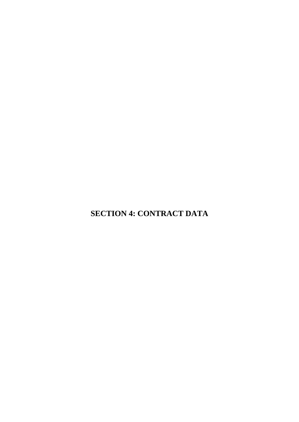**SECTION 4: CONTRACT DATA**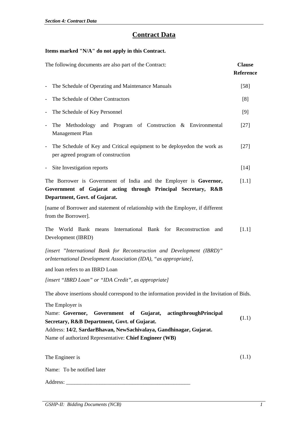# **Contract Data**

# **Items marked "N/A" do not apply in this Contract.**

| The following documents are also part of the Contract:                                                                                                                                                                                                           | <b>Clause</b><br><b>Reference</b> |
|------------------------------------------------------------------------------------------------------------------------------------------------------------------------------------------------------------------------------------------------------------------|-----------------------------------|
| The Schedule of Operating and Maintenance Manuals<br>$\qquad \qquad \blacksquare$                                                                                                                                                                                | $[58]$                            |
| The Schedule of Other Contractors<br>$\overline{\phantom{0}}$                                                                                                                                                                                                    | [8]                               |
| The Schedule of Key Personnel<br>$\qquad \qquad -$                                                                                                                                                                                                               | [9]                               |
| The Methodology and Program of Construction & Environmental<br>$\overline{\phantom{a}}$<br>Management Plan                                                                                                                                                       | $[27]$                            |
| The Schedule of Key and Critical equipment to be deployedon the work as<br>per agreed program of construction                                                                                                                                                    | $[27]$                            |
| Site Investigation reports                                                                                                                                                                                                                                       | $[14]$                            |
| The Borrower is Government of India and the Employer is Governor,<br>Government of Gujarat acting through Principal Secretary, R&B<br>Department, Govt. of Gujarat.                                                                                              | $[1.1]$                           |
| [name of Borrower and statement of relationship with the Employer, if different<br>from the Borrower].                                                                                                                                                           |                                   |
| International Bank for Reconstruction and<br>The<br>World Bank means<br>Development (IBRD)                                                                                                                                                                       | $[1.1]$                           |
| [insert "International Bank for Reconstruction and Development (IBRD)"<br>orInternational Development Association (IDA), "as appropriate],                                                                                                                       |                                   |
| and loan refers to an IBRD Loan                                                                                                                                                                                                                                  |                                   |
| [insert "IBRD Loan" or "IDA Credit", as appropriate]                                                                                                                                                                                                             |                                   |
| The above insertions should correspond to the information provided in the Invitation of Bids.                                                                                                                                                                    |                                   |
| The Employer is<br>Name: Governor, Government of Gujarat, actingthroughPrincipal<br>Secretary, R&B Department, Govt. of Gujarat.<br>Address: 14/2, SardarBhavan, NewSachivalaya, Gandhinagar, Gujarat.<br>Name of authorized Representative: Chief Engineer (WB) | (1.1)                             |
| The Engineer is                                                                                                                                                                                                                                                  | (1.1)                             |
| Name: To be notified later                                                                                                                                                                                                                                       |                                   |
| Address:                                                                                                                                                                                                                                                         |                                   |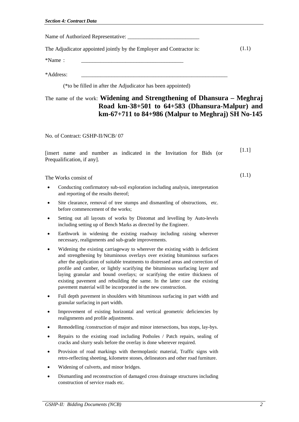| Name of Authorized Representative: |  |
|------------------------------------|--|
|                                    |  |

The Adjudicator appointed jointly by the Employer and Contractor is: (1.1)

 $*$ Name:

\*Address: \_\_\_\_\_\_\_\_\_\_\_\_\_\_\_\_\_\_\_\_\_\_\_\_\_\_\_\_\_\_\_\_\_\_\_\_\_\_\_\_\_\_\_\_\_\_\_\_\_\_\_\_\_

(\*to be filled in after the Adjudicator has been appointed)

# The name of the work: **Widening and Strengthening of Dhansura – Meghraj Road km-38+501 to 64+583 (Dhansura-Malpur) and km-67+711 to 84+986 (Malpur to Meghraj) SH No-145**

No. of Contract: GSHP-II/NCB/ 07

|                           |  |  |  | [insert name and number as indicated in the Invitation for Bids (or |  | $[1.1]$ |  |
|---------------------------|--|--|--|---------------------------------------------------------------------|--|---------|--|
| Prequalification, if any. |  |  |  |                                                                     |  |         |  |
|                           |  |  |  |                                                                     |  |         |  |

The Works consist of

- Conducting confirmatory sub-soil exploration including analysis, interpretation and reporting of the results thereof;
- Site clearance, removal of tree stumps and dismantling of obstructions, etc. before commencement of the works;
- Setting out all layouts of works by Distomat and levelling by Auto-levels including setting up of Bench Marks as directed by the Engineer.
- Earthwork in widening the existing roadway including raising wherever necessary, realignments and sub-grade improvements.
- Widening the existing carriageway to wherever the existing width is deficient and strengthening by bituminous overlays over existing bituminous surfaces after the application of suitable treatments to distressed areas and correction of profile and camber, or lightly scarifying the bituminous surfacing layer and laying granular and bound overlays; or scarifying the entire thickness of existing pavement and rebuilding the same. In the latter case the existing pavement material will be incorporated in the new construction.
- Full depth pavement in shoulders with bituminous surfacing in part width and granular surfacing in part width.
- Improvement of existing horizontal and vertical geometric deficiencies by realignments and profile adjustments.
- Remodelling /construction of major and minor intersections, bus stops, lay-bys.
- Repairs to the existing road including Potholes / Patch repairs, sealing of cracks and slurry seals before the overlay is done wherever required.
- Provision of road markings with thermoplastic material, Traffic signs with retro-reflecting sheeting, kilometre stones, delineators and other road furniture.
- Widening of culverts, and minor bridges.
- Dismantling and reconstruction of damaged cross drainage structures including construction of service roads etc.

(1.1)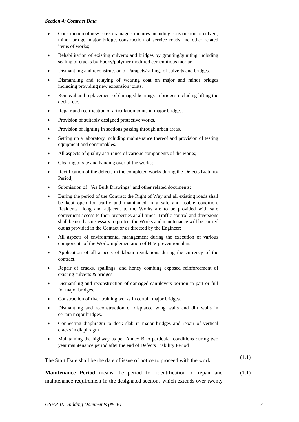- Construction of new cross drainage structures including construction of culvert, minor bridge, major bridge, construction of service roads and other related items of works;
- Rehabilitation of existing culverts and bridges by grouting/guniting including sealing of cracks by Epoxy/polymer modified cementitious mortar.
- Dismantling and reconstruction of Parapets/railings of culverts and bridges.
- Dismantling and relaying of wearing coat on major and minor bridges including providing new expansion joints.
- Removal and replacement of damaged bearings in bridges including lifting the decks, etc.
- Repair and rectification of articulation joints in major bridges.
- Provision of suitably designed protective works.
- Provision of lighting in sections passing through urban areas.
- Setting up a laboratory including maintenance thereof and provision of testing equipment and consumables.
- All aspects of quality assurance of various components of the works;
- Clearing of site and handing over of the works;
- Rectification of the defects in the completed works during the Defects Liability Period;
- Submission of "As Built Drawings" and other related documents;
- During the period of the Contract the Right of Way and all existing roads shall be kept open for traffic and maintained in a safe and usable condition. Residents along and adjacent to the Works are to be provided with safe convenient access to their properties at all times. Traffic control and diversions shall be used as necessary to protect the Works and maintenance will be carried out as provided in the Contact or as directed by the Engineer;
- All aspects of environmental management during the execution of various components of the Work.Implementation of HIV prevention plan.
- Application of all aspects of labour regulations during the currency of the contract.
- Repair of cracks, spallings, and honey combing exposed reinforcement of existing culverts & bridges.
- Dismantling and reconstruction of damaged cantilevers portion in part or full for major bridges.
- Construction of river training works in certain major bridges.
- Dismantling and reconstruction of displaced wing walls and dirt walls in certain major bridges.
- Connecting diaphragm to deck slab in major bridges and repair of vertical cracks in diaphragm
- Maintaining the highway as per Annex B to particular conditions during two year maintenance period after the end of Defects Liability Period

The Start Date shall be the date of issue of notice to proceed with the work.  $(1.1)$ 

**Maintenance Period** means the period for identification of repair and maintenance requirement in the designated sections which extends over twenty (1.1)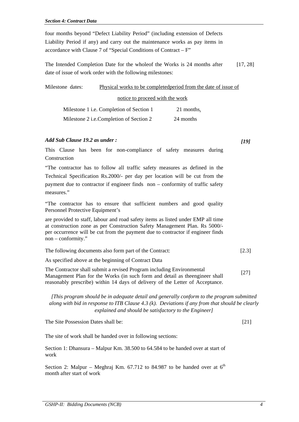four months beyond "Defect Liability Period" (including extension of Defects Liability Period if any) and carry out the maintenance works as pay items in accordance with Clause 7 of "Special Conditions of Contract – F"

The Intended Completion Date for the wholeof the Works is 24 months after date of issue of work order with the following milestones: [17, 28]

| Milestone dates: |                                          | Physical works to be completed period from the date of issue of |  |
|------------------|------------------------------------------|-----------------------------------------------------------------|--|
|                  | notice to proceed with the work          |                                                                 |  |
|                  | Milestone 1 i.e. Completion of Section 1 | 21 months.                                                      |  |
|                  | Milestone 2 i.e.Completion of Section 2  | 24 months                                                       |  |

### *Add Sub Clause 19.2 as under :*

*[19]*

This Clause has been for non-compliance of safety measures during Construction

"The contractor has to follow all traffic safety measures as defined in the Technical Specification Rs.2000/- per day per location will be cut from the payment due to contractor if engineer finds non – conformity of traffic safety measures."

"The contractor has to ensure that sufficient numbers and good quality Personnel Protective Equipment's

are provided to staff, labour and road safety items as listed under EMP all time at construction zone as per Construction Safety Management Plan. Rs 5000/ per occurrence will be cut from the payment due to contractor if engineer finds non – conformity."

| The following documents also form part of the Contract:<br>$[2.3]$ |
|--------------------------------------------------------------------|
|--------------------------------------------------------------------|

As specified above at the beginning of Contract Data

The Contractor shall submit a revised Program including Environmental Management Plan for the Works (in such form and detail as theengineer shall reasonably prescribe) within 14 days of delivery of the Letter of Acceptance. [27]

*[This program should be in adequate detail and generally conform to the program submitted along with bid in response to ITB Clause 4.3 (k). Deviations if any from that should be clearly explained and should be satisfactory to the Engineer]*

The Site Possession Dates shall be:

[21]

The site of work shall be handed over in following sections:

Section 1: Dhansura – Malpur Km. 38.500 to 64.584 to be handed over at start of work

Section 2: Malpur – Meghraj Km. 67.712 to 84.987 to be handed over at  $6<sup>th</sup>$ month after start of work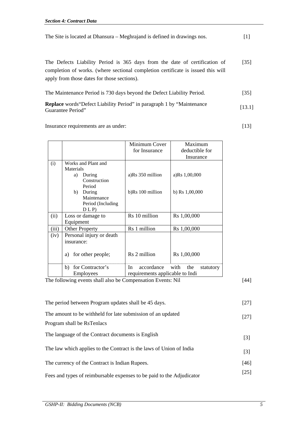| The Site is located at Dhansura – Meghrajand is defined in drawings nos. |
|--------------------------------------------------------------------------|
|--------------------------------------------------------------------------|

The Defects Liability Period is 365 days from the date of certification of completion of works. (where sectional completion certificate is issued this will apply from those dates for those sections). [35]

| The Maintenance Period is 730 days beyond the Defect Liability Period. | $[35]$ |
|------------------------------------------------------------------------|--------|
|                                                                        |        |

| <b>Replace</b> words "Defect Liability Period" in paragraph 1 by "Maintenance | [13.1] |
|-------------------------------------------------------------------------------|--------|
| Guarantee Period"                                                             |        |

Insurance requirements are as under: [13]

|                                                             | Minimum Cover                   | Maximum                  |
|-------------------------------------------------------------|---------------------------------|--------------------------|
|                                                             | for Insurance                   | deductible for           |
|                                                             |                                 | Insurance                |
| Works and Plant and<br>(i)                                  |                                 |                          |
| Materials                                                   |                                 |                          |
| During<br>a)                                                | a)Rs 350 million                | a)Rs 1,00,000            |
| Construction                                                |                                 |                          |
| Period                                                      |                                 |                          |
| b)<br>During                                                | b)Rs 100 million                | b) Rs $1,00,000$         |
| Maintenance                                                 |                                 |                          |
| Period (Including                                           |                                 |                          |
| D L P                                                       |                                 |                          |
| Loss or damage to<br>(ii)                                   | Rs 10 million                   | Rs 1,00,000              |
| Equipment                                                   |                                 |                          |
| (iii)<br><b>Other Property</b>                              | Rs 1 million                    | Rs 1,00,000              |
| Personal injury or death<br>(iv)                            |                                 |                          |
| insurance:                                                  |                                 |                          |
|                                                             |                                 |                          |
| for other people;<br>a)                                     | Rs 2 million                    | Rs 1,00,000              |
|                                                             |                                 |                          |
| for Contractor's<br>b)                                      | accordance<br>In                | with<br>the<br>statutory |
| <b>Employees</b>                                            | requirements applicable to Indi |                          |
| The following events shall also be Compensation Events: Nil |                                 |                          |

| The period between Program updates shall be 45 days.                  | $[27]$ |
|-----------------------------------------------------------------------|--------|
| The amount to be withheld for late submission of an updated           | $[27]$ |
| Program shall be RsTenlacs                                            |        |
| The language of the Contract documents is English                     | $[3]$  |
| The law which applies to the Contract is the laws of Union of India   | $[3]$  |
| The currency of the Contract is Indian Rupees.                        | $[46]$ |
| Fees and types of reimbursable expenses to be paid to the Adjudicator | $[25]$ |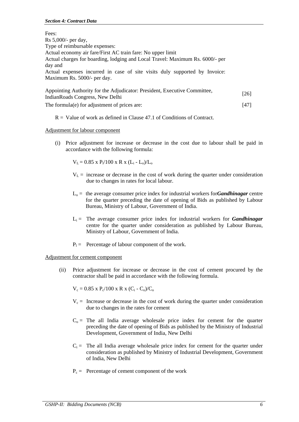| Fees:                                                                         |      |
|-------------------------------------------------------------------------------|------|
| Rs 5,000/- per day,                                                           |      |
| Type of reimbursable expenses:                                                |      |
| Actual economy air fare/First AC train fare: No upper limit                   |      |
| Actual charges for boarding, lodging and Local Travel: Maximum Rs. 6000/- per |      |
| day and                                                                       |      |
| Actual expenses incurred in case of site visits duly supported by Invoice:    |      |
| Maximum Rs. 5000/- per day.                                                   |      |
| Appointing Authority for the Adjudicator: President, Executive Committee,     | [26] |
| Indian Roads Congress, New Delhi                                              |      |

The formula(e) for adjustment of prices are: [47]

 $R =$  Value of work as defined in Clause 47.1 of Conditions of Contract.

# Adjustment for labour component

 (i) Price adjustment for increase or decrease in the cost due to labour shall be paid in accordance with the following formula:

 $V_L = 0.85$  x  $P_1/100$  x R x  $(L_i - L_o)/L_o$ 

- $V_L$  = increase or decrease in the cost of work during the quarter under consideration due to changes in rates for local labour.
- $L_0$  = the average consumer price index for industrial workers for*Gandhinagar* centre for the quarter preceding the date of opening of Bids as published by Labour Bureau, Ministry of Labour, Government of India.
- $L_i$  = The average consumer price index for industrial workers for *Gandhinagar* centre for the quarter under consideration as published by Labour Bureau, Ministry of Labour, Government of India.
- $P_1$  = Percentage of labour component of the work.

# Adjustment for cement component

 (ii) Price adjustment for increase or decrease in the cost of cement procured by the contractor shall be paid in accordance with the following formula.

 $V_c = 0.85$  x  $P_c/100$  x R x  $(C_i - C_o)/C_o$ 

- $V_c$  = Increase or decrease in the cost of work during the quarter under consideration due to changes in the rates for cement
- $C<sub>o</sub>$  = The all India average wholesale price index for cement for the quarter preceding the date of opening of Bids as published by the Ministry of Industrial Development, Government of India, New Delhi
- $C_i$  = The all India average wholesale price index for cement for the quarter under consideration as published by Ministry of Industrial Development, Government of India, New Delhi
- $P_c$  = Percentage of cement component of the work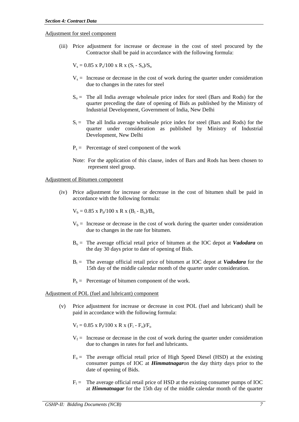Adjustment for steel component

 (iii) Price adjustment for increase or decrease in the cost of steel procured by the Contractor shall be paid in accordance with the following formula:

 $V_s = 0.85$  x  $P_s/100$  x R x  $(S_i - S_o)/S_o$ 

- $V_s$  = Increase or decrease in the cost of work during the quarter under consideration due to changes in the rates for steel
- $S_0$  = The all India average wholesale price index for steel (Bars and Rods) for the quarter preceding the date of opening of Bids as published by the Ministry of Industrial Development, Government of India, New Delhi
- $S_i$  = The all India average wholesale price index for steel (Bars and Rods) for the quarter under consideration as published by Ministry of Industrial Development, New Delhi
- $P_s$  = Percentage of steel component of the work
- Note: For the application of this clause, index of Bars and Rods has been chosen to represent steel group.

Adjustment of Bitumen component

 (iv) Price adjustment for increase or decrease in the cost of bitumen shall be paid in accordance with the following formula:

 $V_b = 0.85$  x  $P_b/100$  x R x  $(B_i - B_o)/B_o$ 

- $V_b$  = Increase or decrease in the cost of work during the quarter under consideration due to changes in the rate for bitumen.
- Bo = The average official retail price of bitumen at the IOC depot at *Vadodara* on the day 30 days prior to date of opening of Bids.
- $B_i$  = The average official retail price of bitumen at IOC depot at **Vadodara** for the 15th day of the middle calendar month of the quarter under consideration.
- $P_b$  = Percentage of bitumen component of the work.

### Adjustment of POL (fuel and lubricant) component

 (v) Price adjustment for increase or decrease in cost POL (fuel and lubricant) shall be paid in accordance with the following formula:

$$
V_f = 0.85 \times P_f/100 \times R \times (F_i - F_o)/F_o
$$

- $V_f$  = Increase or decrease in the cost of work during the quarter under consideration due to changes in rates for fuel and lubricants.
- $F<sub>o</sub>$  = The average official retail price of High Speed Diesel (HSD) at the existing consumer pumps of IOC at *Himmatnagar*on the day thirty days prior to the date of opening of Bids.
- $F_i$  = The average official retail price of HSD at the existing consumer pumps of IOC at *Himmatnagar* for the 15th day of the middle calendar month of the quarter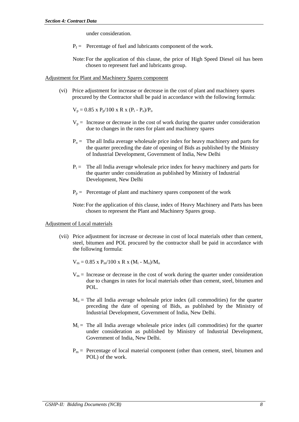under consideration.

- $P_f$  = Percentage of fuel and lubricants component of the work.
- Note: For the application of this clause, the price of High Speed Diesel oil has been chosen to represent fuel and lubricants group.

### Adjustment for Plant and Machinery Spares component

 (vi) Price adjustment for increase or decrease in the cost of plant and machinery spares procured by the Contractor shall be paid in accordance with the following formula:

 $V_p = 0.85$  x  $P_p/100$  x R x  $(P_i - P_o)/P_o$ 

- $V_p$  = Increase or decrease in the cost of work during the quarter under consideration due to changes in the rates for plant and machinery spares
- $P_0$  = The all India average wholesale price index for heavy machinery and parts for the quarter preceding the date of opening of Bids as published by the Ministry of Industrial Development, Government of India, New Delhi
- $P_i$  = The all India average wholesale price index for heavy machinery and parts for the quarter under consideration as published by Ministry of Industrial Development, New Delhi
- $P_p$  = Percentage of plant and machinery spares component of the work
- Note: For the application of this clause, index of Heavy Machinery and Parts has been chosen to represent the Plant and Machinery Spares group.

### Adjustment of Local materials

- (vii) Price adjustment for increase or decrease in cost of local materials other than cement, steel, bitumen and POL procured by the contractor shall be paid in accordance with the following formula:
	- $V_m = 0.85$  x  $P_m/100$  x R x (M<sub>i</sub> M<sub>o</sub>)/M<sub>o</sub>
	- $V_m$  = Increase or decrease in the cost of work during the quarter under consideration due to changes in rates for local materials other than cement, steel, bitumen and POL.
	- $M<sub>o</sub>$  = The all India average wholesale price index (all commodities) for the quarter preceding the date of opening of Bids, as published by the Ministry of Industrial Development, Government of India, New Delhi.
	- $M_i$  = The all India average wholesale price index (all commodities) for the quarter under consideration as published by Ministry of Industrial Development, Government of India, New Delhi.
	- $P_m$  = Percentage of local material component (other than cement, steel, bitumen and POL) of the work.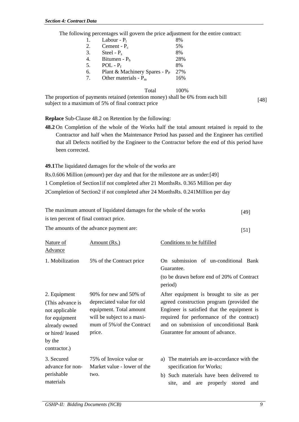The following percentages will govern the price adjustment for the entire contract:

| 1. | Labour - $P_1$                   | 8%  |
|----|----------------------------------|-----|
| 2. | Cement - $P_c$                   | 5%  |
| 3. | Steel - $P_s$                    | 8%  |
| 4. | Bitumen - $P_h$                  | 28% |
| 5. | $POL - P_f$                      | 8%  |
| 6. | Plant & Machinery Spares - $P_P$ | 27% |
| 7  | Other materials - $P_m$          | 16% |
|    |                                  |     |

Total 100%

The proportion of payments retained (retention money) shall be 6% from each bill subject to a maximum of 5% of final contract price  $[48]$ 

**Replace** Sub-Clause 48.2 on Retention by the following:

**48.2** On Completion of the whole of the Works half the total amount retained is repaid to the Contractor and half when the Maintenance Period has passed and the Engineer has certified that all Defects notified by the Engineer to the Contractor before the end of this period have been corrected.

**49.1**The liquidated damages for the whole of the works are

Rs.0.606 Million (*amount*) per day and that for the milestone are as under:[49]

1 Completion of Section1if not completed after 21 MonthsRs. 0.365 Million per day

2Completion of Section2 if not completed after 24 MonthsRs. 0.241Million per day

| The maximum amount of liquidated damages for the whole of the works | $[49]$ |
|---------------------------------------------------------------------|--------|
| is ten percent of final contract price.                             |        |

The amounts of the advance payment are: [51]

| Nature of<br><b>Advance</b>                                                                                                       | Amount (Rs.)                                                                                                                                        | Conditions to be fulfilled                                                                                                                                                                                                                                        |
|-----------------------------------------------------------------------------------------------------------------------------------|-----------------------------------------------------------------------------------------------------------------------------------------------------|-------------------------------------------------------------------------------------------------------------------------------------------------------------------------------------------------------------------------------------------------------------------|
| 1. Mobilization                                                                                                                   | 5% of the Contract price                                                                                                                            | On submission of un-conditional Bank<br>Guarantee.<br>(to be drawn before end of 20% of Contract)<br>period)                                                                                                                                                      |
| 2. Equipment<br>(This advance is<br>not applicable<br>for equipment<br>already owned<br>or hired/leased<br>by the<br>contractor.) | 90% for new and 50% of<br>depreciated value for old<br>equipment. Total amount<br>will be subject to a maxi-<br>mum of 5%/of the Contract<br>price. | After equipment is brought to site as per<br>agreed construction program (provided the<br>Engineer is satisfied that the equipment is<br>required for performance of the contract)<br>and on submission of unconditional Bank<br>Guarantee for amount of advance. |
| 3. Secured<br>advance for non-<br>perishable<br>materials                                                                         | 75% of Invoice value or<br>Market value - lower of the<br>two.                                                                                      | a) The materials are in-accordance with the<br>specification for Works;<br>b) Such materials have been delivered to<br>and<br>properly<br>stored<br>and<br>site.<br>are                                                                                           |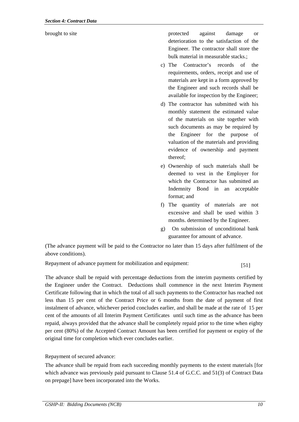brought to site the protected against damage or deterioration to the satisfaction of the Engineer. The contractor shall store the bulk material in measurable stacks.;

- c) The Contractor's records of the requirements, orders, receipt and use of materials are kept in a form approved by the Engineer and such records shall be available for inspection by the Engineer;
- d) The contractor has submitted with his monthly statement the estimated value of the materials on site together with such documents as may be required by the Engineer for the purpose of valuation of the materials and providing evidence of ownership and payment thereof;
- e) Ownership of such materials shall be deemed to vest in the Employer for which the Contractor has submitted an Indemnity Bond in an acceptable format; and
- f) The quantity of materials are not excessive and shall be used within 3 months. determined by the Engineer.
- g) On submission of unconditional bank guarantee for amount of advance.

(The advance payment will be paid to the Contractor no later than 15 days after fulfilment of the above conditions).

Repayment of advance payment for mobilization and equipment: [51]

The advance shall be repaid with percentage deductions from the interim payments certified by the Engineer under the Contract. Deductions shall commence in the next Interim Payment Certificate following that in which the total of all such payments to the Contractor has reached not less than 15 per cent of the Contract Price or 6 months from the date of payment of first instalment of advance, whichever period concludes earlier, and shall be made at the rate of 15 per cent of the amounts of all Interim Payment Certificates until such time as the advance has been repaid, always provided that the advance shall be completely repaid prior to the time when eighty per cent (80%) of the Accepted Contract Amount has been certified for payment or expiry of the original time for completion which ever concludes earlier.

Repayment of secured advance:

The advance shall be repaid from each succeeding monthly payments to the extent materials [for which advance was previously paid pursuant to Clause 51.4 of G.C.C. and 51(3) of Contract Data on prepage] have been incorporated into the Works.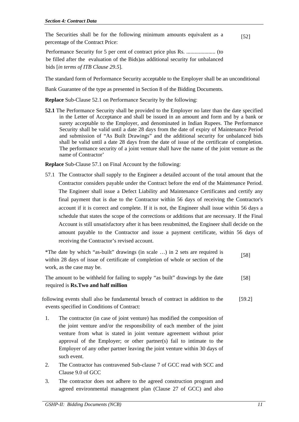The Securities shall be for the following minimum amounts equivalent as a percentage of the Contract Price: [52]

Performance Security for 5 per cent of contract price plus Rs. ..................... (to be filled after the evaluation of the Bids)as additional security for unbalanced bids [*in terms of ITB Clause 29.5*].

The standard form of Performance Security acceptable to the Employer shall be an unconditional

Bank Guarantee of the type as presented in Section 8 of the Bidding Documents.

**Replace** Sub-Clause 52.1 on Performance Security by the following:

**52.1** The Performance Security shall be provided to the Employer no later than the date specified in the Letter of Acceptance and shall be issued in an amount and form and by a bank or surety acceptable to the Employer, and denominated in Indian Rupees. The Performance Security shall be valid until a date 28 days from the date of expiry of Maintenance Period and submission of "As Built Drawings" and the additional security for unbalanced bids shall be valid until a date 28 days from the date of issue of the certificate of completion. The performance security of a joint venture shall have the name of the joint venture as the name of Contractor'

**Replace** Sub-Clause 57.1 on Final Account by the following:

57.1 The Contractor shall supply to the Engineer a detailed account of the total amount that the Contractor considers payable under the Contract before the end of the Maintenance Period. The Engineer shall issue a Defect Liability and Maintenance Certificates and certify any final payment that is due to the Contractor within 56 days of receiving the Contractor's account if it is correct and complete. If it is not, the Engineer shall issue within 56 days a schedule that states the scope of the corrections or additions that are necessary. If the Final Account is still unsatisfactory after it has been resubmitted, the Engineer shall decide on the amount payable to the Contractor and issue a payment certificate, within 56 days of receiving the Contractor's revised account.

\*The date by which "as-built" drawings (in scale …) in 2 sets are required is within 28 days of issue of certificate of completion of whole or section of the work, as the case may be. [58]

The amount to be withheld for failing to supply "as built" drawings by the date required is **Rs.Two and half million** [58]

following events shall also be fundamental breach of contract in addition to the events specified in Conditions of Contract: [59.2]

- 1. The contractor (in case of joint venture) has modified the composition of the joint venture and/or the responsibility of each member of the joint venture from what is stated in joint venture agreement without prior approval of the Employer; or other partner(s) fail to intimate to the Employer of any other partner leaving the joint venture within 30 days of such event.
- 2. The Contractor has contravened Sub-clause 7 of GCC read with SCC and Clause 9.0 of GCC
- 3. The contractor does not adhere to the agreed construction program and agreed environmental management plan (Clause 27 of GCC) and also